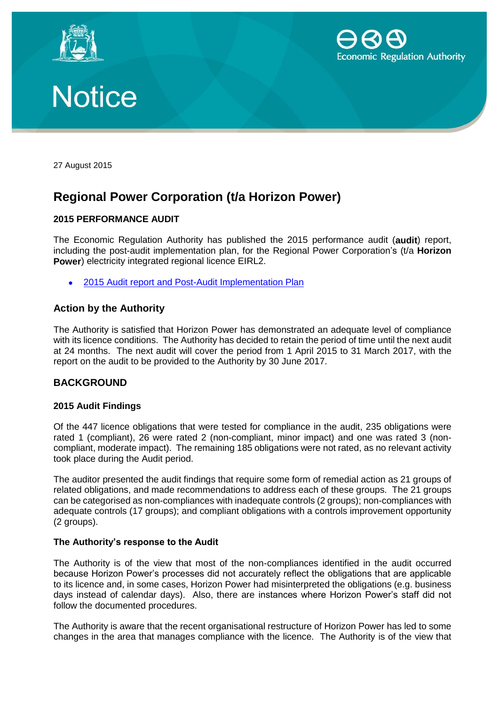





27 August 2015

# **Regional Power Corporation (t/a Horizon Power)**

# **2015 PERFORMANCE AUDIT**

The Economic Regulation Authority has published the 2015 performance audit (**audit**) report, including the post-audit implementation plan, for the Regional Power Corporation's (t/a **Horizon Power**) electricity integrated regional licence EIRL2.

2015 Audit report [and Post-Audit Implementation Plan](https://www.erawa.com.au/cproot/13824/2/2015%20Horizon%20Power%20Audit%20Report%20and%20Post-Audit%20Implementation%20Plan.pdf)

# **Action by the Authority**

The Authority is satisfied that Horizon Power has demonstrated an adequate level of compliance with its licence conditions. The Authority has decided to retain the period of time until the next audit at 24 months. The next audit will cover the period from 1 April 2015 to 31 March 2017, with the report on the audit to be provided to the Authority by 30 June 2017.

# **BACKGROUND**

#### **2015 Audit Findings**

Of the 447 licence obligations that were tested for compliance in the audit, 235 obligations were rated 1 (compliant), 26 were rated 2 (non-compliant, minor impact) and one was rated 3 (noncompliant, moderate impact). The remaining 185 obligations were not rated, as no relevant activity took place during the Audit period.

The auditor presented the audit findings that require some form of remedial action as 21 groups of related obligations, and made recommendations to address each of these groups. The 21 groups can be categorised as non-compliances with inadequate controls (2 groups); non-compliances with adequate controls (17 groups); and compliant obligations with a controls improvement opportunity (2 groups).

# **The Authority's response to the Audit**

The Authority is of the view that most of the non-compliances identified in the audit occurred because Horizon Power's processes did not accurately reflect the obligations that are applicable to its licence and, in some cases, Horizon Power had misinterpreted the obligations (e.g. business days instead of calendar days). Also, there are instances where Horizon Power's staff did not follow the documented procedures.

The Authority is aware that the recent organisational restructure of Horizon Power has led to some changes in the area that manages compliance with the licence. The Authority is of the view that